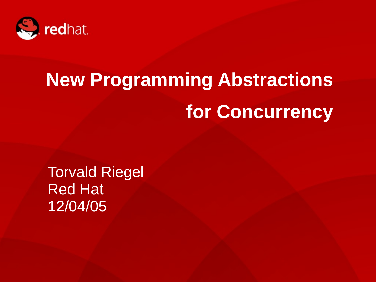

# **New Programming Abstractions for Concurrency**

Torvald Riegel Red Hat 12/04/05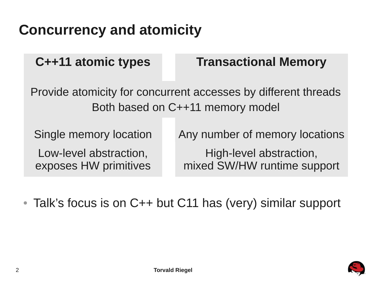## **Concurrency and atomicity**

| C++11 atomic types                                                                                 | <b>Transactional Memory</b>                            |  |  |
|----------------------------------------------------------------------------------------------------|--------------------------------------------------------|--|--|
| Provide atomicity for concurrent accesses by different threads<br>Both based on C++11 memory model |                                                        |  |  |
| Single memory location                                                                             | Any number of memory locations                         |  |  |
| Low-level abstraction,<br>exposes HW primitives                                                    | High-level abstraction,<br>mixed SW/HW runtime support |  |  |

• Talk's focus is on C++ but C11 has (very) similar support

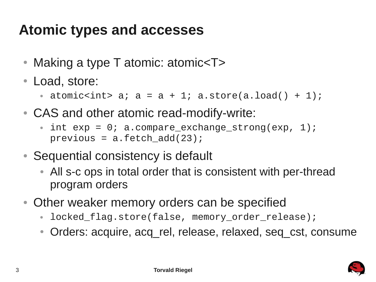# **Atomic types and accesses**

- Making a type  $T$  atomic: atomic $\leq T$
- Load, store:
	- atomic<int>  $a$ ;  $a = a + 1$ ;  $a$ .store( $a$ .load() + 1);
- CAS and other atomic read-modify-write:
	- $\bullet$  int exp = 0; a.compare\_exchange\_strong(exp, 1);  $previous = a.fetch\_add(23);$
- Sequential consistency is default
	- All s-c ops in total order that is consistent with per-thread program orders
- Other weaker memory orders can be specified
	- locked\_flag.store(false, memory\_order\_release);
	- Orders: acquire, acq\_rel, release, relaxed, seq\_cst, consume

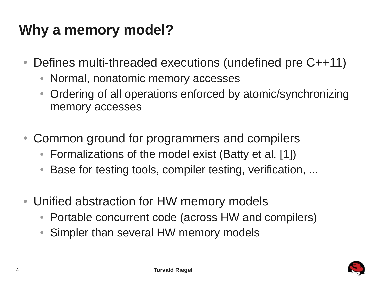## **Why a memory model?**

- Defines multi-threaded executions (undefined pre C++11)
	- Normal, nonatomic memory accesses
	- Ordering of all operations enforced by atomic/synchronizing memory accesses
- Common ground for programmers and compilers
	- Formalizations of the model exist (Batty et al. [1])
	- Base for testing tools, compiler testing, verification, ...
- Unified abstraction for HW memory models
	- Portable concurrent code (across HW and compilers)
	- Simpler than several HW memory models

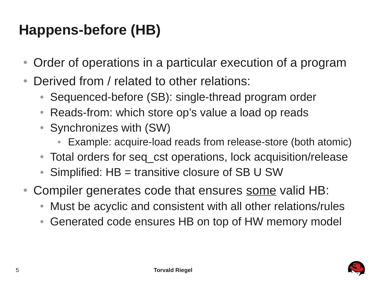# **Happens-before (HB)**

- Order of operations in a particular execution of a program
- Derived from / related to other relations:
	- Sequenced-before (SB): single-thread program order
	- Reads-from: which store op's value a load op reads
	- Synchronizes with (SW)
		- Example: acquire-load reads from release-store (both atomic)
	- Total orders for seq cst operations, lock acquisition/release
	- Simplified:  $HB =$  transitive closure of SB U SW
- Compiler generates code that ensures some valid HB:
	- Must be acyclic and consistent with all other relations/rules
	- Generated code ensures HB on top of HW memory model

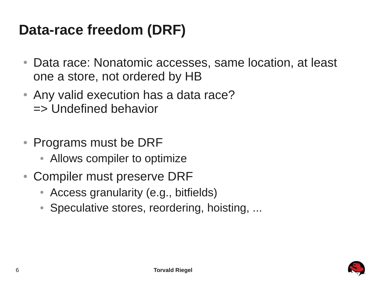# **Data-race freedom (DRF)**

- Data race: Nonatomic accesses, same location, at least one a store, not ordered by HB
- Any valid execution has a data race? => Undefined behavior
- Programs must be DRF
	- Allows compiler to optimize
- Compiler must preserve DRF
	- Access granularity (e.g., bitfields)
	- Speculative stores, reordering, hoisting, ...

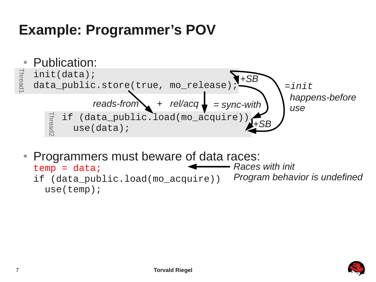# **Example: Programmer's POV**



• Programmers must beware of data races:  $temp = data;$ if (data\_public.load(mo\_acquire)) use(temp); *Races with init Program behavior is undefined*

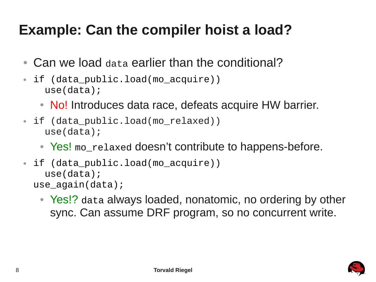# **Example: Can the compiler hoist a load?**

- Can we load data earlier than the conditional?
- $\bullet$  if (data\_public.load(mo\_acquire)) use(data);
	- No! Introduces data race, defeats acquire HW barrier.
- $\bullet$  if (data\_public.load(mo\_relaxed)) use(data);
	- Yes! mo\_relaxed doesn't contribute to happens-before.
- $\bullet$  if (data\_public.load(mo\_acquire)) use(data); use\_again(data);
	- Yes!? data always loaded, nonatomic, no ordering by other sync. Can assume DRF program, so no concurrent write.

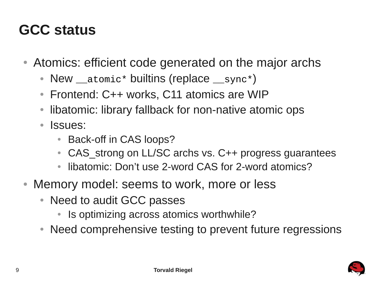#### **GCC status**

- Atomics: efficient code generated on the major archs
	- New \_\_atomic\* builtins (replace \_\_sync\*)
	- Frontend: C++ works, C11 atomics are WIP
	- libatomic: library fallback for non-native atomic ops
	- Issues:
		- Back-off in CAS loops?
		- CAS strong on LL/SC archs vs. C++ progress guarantees
		- libatomic: Don't use 2-word CAS for 2-word atomics?
- Memory model: seems to work, more or less
	- Need to audit GCC passes
		- Is optimizing across atomics worthwhile?
	- Need comprehensive testing to prevent future regressions

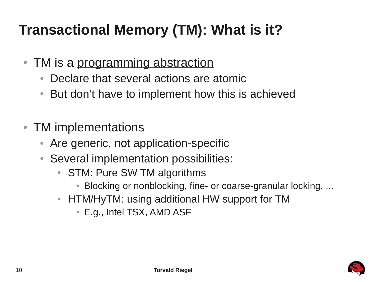# **Transactional Memory (TM): What is it?**

- TM is a programming abstraction
	- Declare that several actions are atomic
	- But don't have to implement how this is achieved
- TM implementations
	- Are generic, not application-specific
	- Several implementation possibilities:
		- STM: Pure SW TM algorithms
			- Blocking or nonblocking, fine- or coarse-granular locking, ...
		- HTM/HyTM: using additional HW support for TM
			- E.g., Intel TSX, AMD ASF

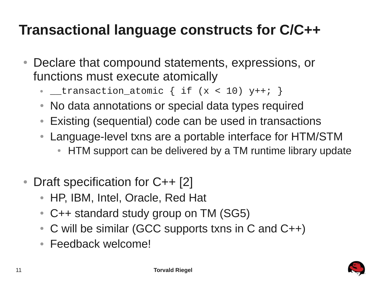# **Transactional language constructs for C/C++**

• Declare that compound statements, expressions, or functions must execute atomically

 $\begin{array}{l} \text{---}$ transaction\_atomic { if (x < 10) y++; }

- No data annotations or special data types required
- Existing (sequential) code can be used in transactions
- Language-level txns are a portable interface for HTM/STM
	- HTM support can be delivered by a TM runtime library update
- Draft specification for C++ [2]
	- HP, IBM, Intel, Oracle, Red Hat
	- C++ standard study group on TM (SG5)
	- C will be similar (GCC supports txns in C and  $C++$ )
	- Feedback welcome!

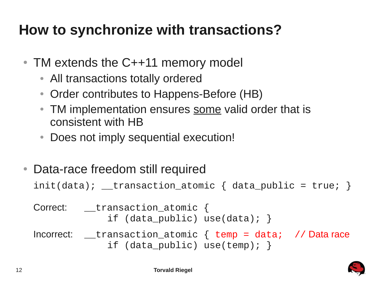## **How to synchronize with transactions?**

- $\bullet$  TM extends the C++11 memory model
	- All transactions totally ordered
	- Order contributes to Happens-Before (HB)
	- TM implementation ensures some valid order that is consistent with HB
	- Does not imply sequential execution!
- Data-race freedom still required  $init(data)$ ; \_transaction\_atomic { data\_public = true; }

Correct: \_\_transaction\_atomic { if (data\_public) use(data); }

Incorrect:  $r_{\text{max}}$  \_\_transaction\_atomic { temp = data; // Data race if (data\_public) use(temp); }

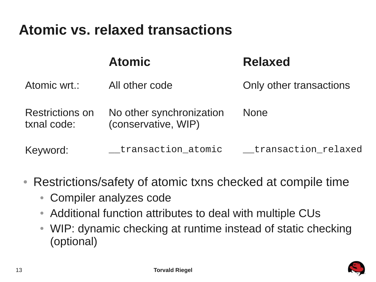# **Atomic vs. relaxed transactions**

|                                       | <b>Atomic</b>                                   | <b>Relaxed</b>          |
|---------------------------------------|-------------------------------------------------|-------------------------|
| Atomic wrt.:                          | All other code                                  | Only other transactions |
| <b>Restrictions on</b><br>txnal code: | No other synchronization<br>(conservative, WIP) | <b>None</b>             |
| Keyword:                              | _transaction_atomic                             | __transaction_relaxed   |

- Restrictions/safety of atomic txns checked at compile time
	- Compiler analyzes code
	- Additional function attributes to deal with multiple CUs
	- WIP: dynamic checking at runtime instead of static checking (optional)

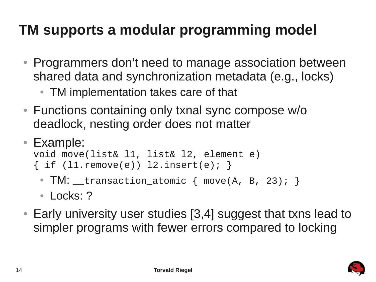# **TM supports a modular programming model**

- Programmers don't need to manage association between shared data and synchronization metadata (e.g., locks)
	- TM implementation takes care of that
- Functions containing only txnal sync compose w/o deadlock, nesting order does not matter
- Example: void move(list& l1, list& l2, element e)
	- { if (l1.remove(e)) l2.insert(e); }
		- $\bullet$  TM:  $\_\_$  transaction $\_\_$ atomic { move(A, B, 23); }
		- Locks: ?
- Early university user studies [3,4] suggest that txns lead to simpler programs with fewer errors compared to locking

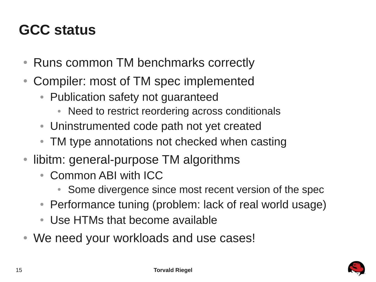#### **GCC status**

- Runs common TM benchmarks correctly
- Compiler: most of TM spec implemented
	- Publication safety not guaranteed
		- Need to restrict reordering across conditionals
	- Uninstrumented code path not yet created
	- TM type annotations not checked when casting
- libitm: general-purpose TM algorithms
	- Common ABI with ICC
		- Some divergence since most recent version of the spec
	- Performance tuning (problem: lack of real world usage)
	- Use HTMs that become available
- We need your workloads and use cases!